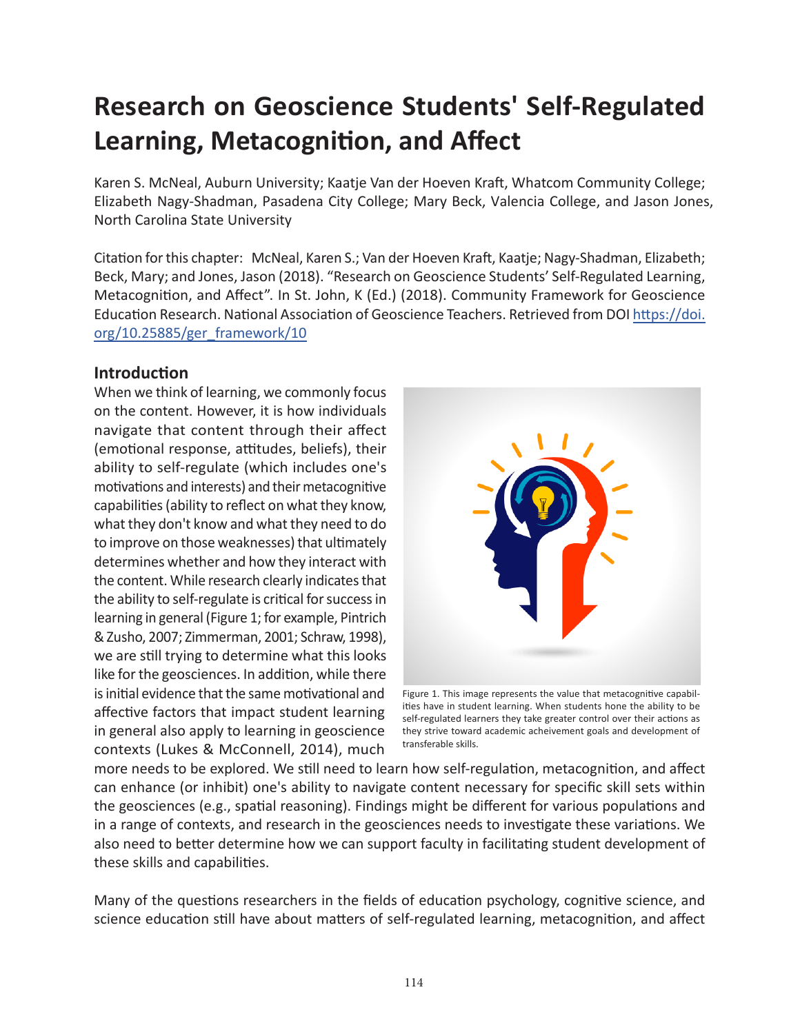# **Research on Geoscience Students' Self-Regulated Learning, Metacognition, and Affect**

Karen S. McNeal, Auburn University; Kaatje Van der Hoeven Kraft, Whatcom Community College; Elizabeth Nagy-Shadman, Pasadena City College; Mary Beck, Valencia College, and Jason Jones, North Carolina State University

Citation for this chapter: McNeal, Karen S.; Van der Hoeven Kraft, Kaatje; Nagy-Shadman, Elizabeth; Beck, Mary; and Jones, Jason (2018). "Research on Geoscience Students' Self-Regulated Learning, Metacognition, and Affect". In St. John, K (Ed.) (2018). Community Framework for Geoscience Education Research. National Association of Geoscience Teachers. Retrieved from DO[I https://doi.](https://doi.org/10.25885/ger_framework/10) [org/10.25885/ger\\_framework/10](https://doi.org/10.25885/ger_framework/10)

#### **Introduction**

When we think of learning, we commonly focus on the content. However, it is how individuals navigate that content through their affect (emotional response, attitudes, beliefs), their ability to self-regulate (which includes one's motivations and interests) and their metacognitive capabilities (ability to reflect on what they know, what they don't know and what they need to do to improve on those weaknesses) that ultimately determines whether and how they interact with the content. While research clearly indicates that the ability to self-regulate is critical for success in learning in general (Figure 1; for example, Pintrich & Zusho, 2007; Zimmerman, 2001; Schraw, 1998), we are still trying to determine what this looks like for the geosciences. In addition, while there is initial evidence that the same motivational and affective factors that impact student learning in general also apply to learning in geoscience contexts (Lukes & McConnell, 2014), much



Figure 1. This image represents the value that metacognitive capabilities have in student learning. When students hone the ability to be self-regulated learners they take greater control over their actions as they strive toward academic acheivement goals and development of transferable skills.

more needs to be explored. We still need to learn how self-regulation, metacognition, and affect can enhance (or inhibit) one's ability to navigate content necessary for specific skill sets within the geosciences (e.g., spatial reasoning). Findings might be different for various populations and in a range of contexts, and research in the geosciences needs to investigate these variations. We also need to better determine how we can support faculty in facilitating student development of these skills and capabilities.

Many of the questions researchers in the fields of education psychology, cognitive science, and science education still have about matters of self-regulated learning, metacognition, and affect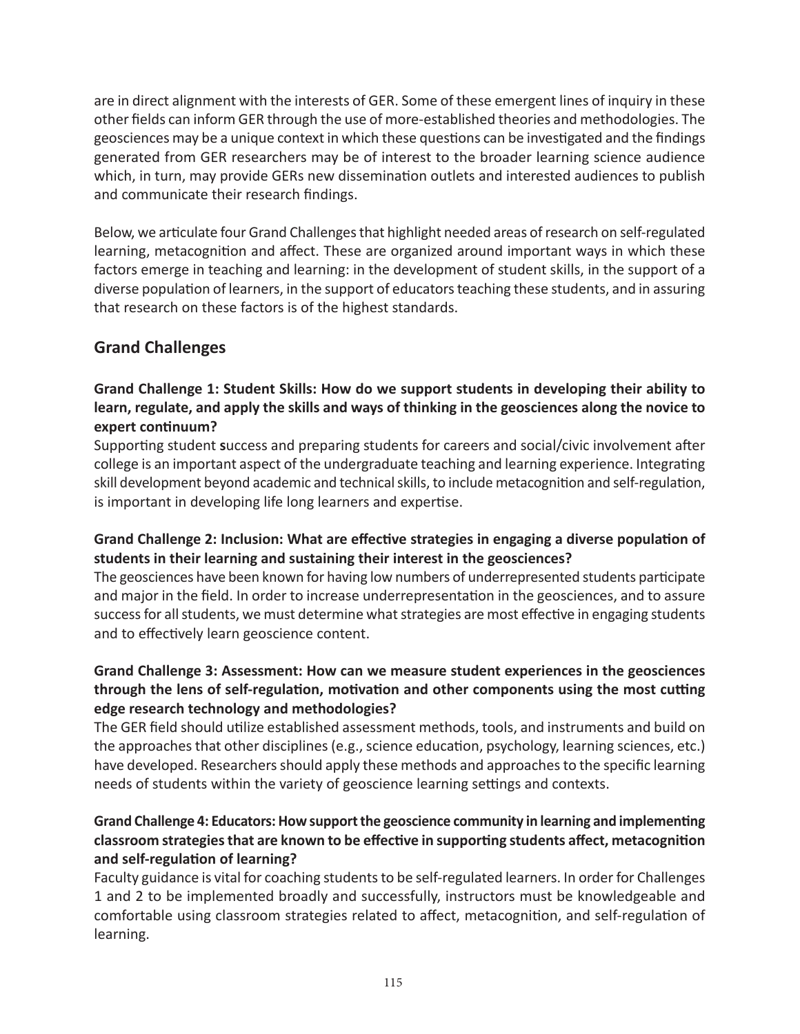are in direct alignment with the interests of GER. Some of these emergent lines of inquiry in these other fields can inform GER through the use of more-established theories and methodologies. The geosciences may be a unique context in which these questions can be investigated and the findings generated from GER researchers may be of interest to the broader learning science audience which, in turn, may provide GERs new dissemination outlets and interested audiences to publish and communicate their research findings.

Below, we articulate four Grand Challenges that highlight needed areas of research on self-regulated learning, metacognition and affect. These are organized around important ways in which these factors emerge in teaching and learning: in the development of student skills, in the support of a diverse population of learners, in the support of educators teaching these students, and in assuring that research on these factors is of the highest standards.

## **Grand Challenges**

#### **Grand Challenge 1: Student Skills: How do we support students in developing their ability to learn, regulate, and apply the skills and ways of thinking in the geosciences along the novice to expert continuum?**

Supporting student **s**uccess and preparing students for careers and social/civic involvement after college is an important aspect of the undergraduate teaching and learning experience. Integrating skill development beyond academic and technical skills, to include metacognition and self-regulation, is important in developing life long learners and expertise.

#### **Grand Challenge 2: Inclusion: What are effective strategies in engaging a diverse population of students in their learning and sustaining their interest in the geosciences?**

The geosciences have been known for having low numbers of underrepresented students participate and major in the field. In order to increase underrepresentation in the geosciences, and to assure success for all students, we must determine what strategies are most effective in engaging students and to effectively learn geoscience content.

#### **Grand Challenge 3: Assessment: How can we measure student experiences in the geosciences through the lens of self-regulation, motivation and other components using the most cutting edge research technology and methodologies?**

The GER field should utilize established assessment methods, tools, and instruments and build on the approaches that other disciplines (e.g., science education, psychology, learning sciences, etc.) have developed. Researchers should apply these methods and approaches to the specific learning needs of students within the variety of geoscience learning settings and contexts.

#### **Grand Challenge 4: Educators: How support the geoscience community in learning and implementing classroom strategies that are known to be effective in supporting students affect, metacognition and self-regulation of learning?**

Faculty guidance is vital for coaching students to be self-regulated learners. In order for Challenges 1 and 2 to be implemented broadly and successfully, instructors must be knowledgeable and comfortable using classroom strategies related to affect, metacognition, and self-regulation of learning.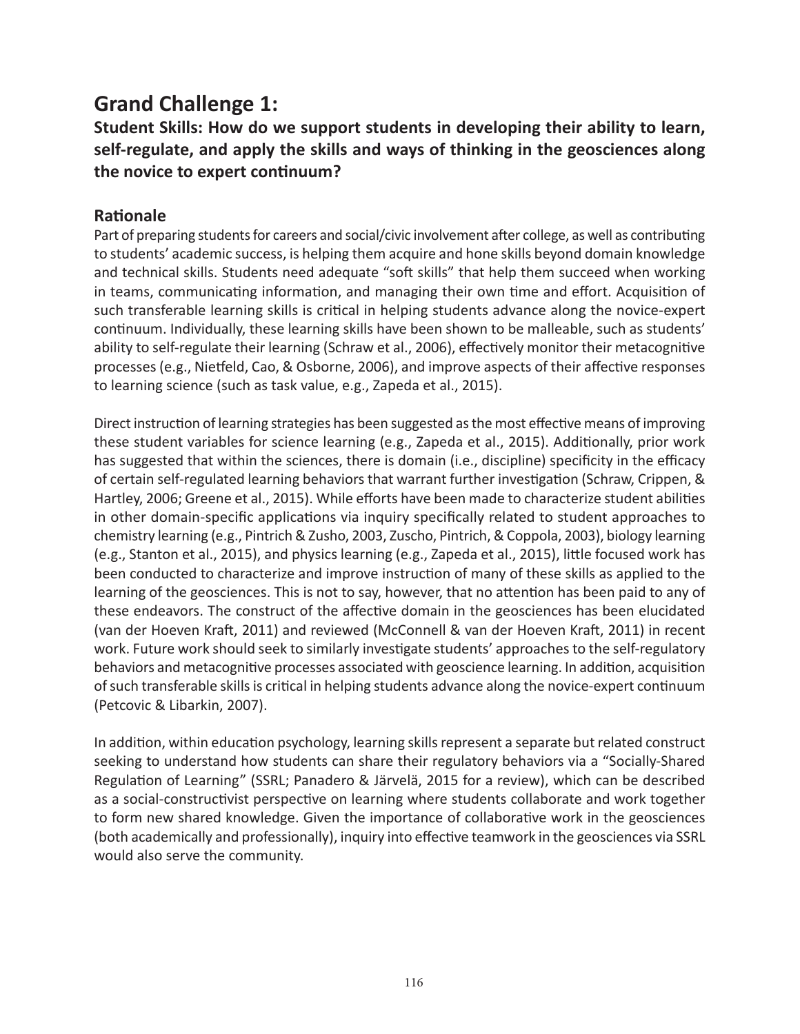## **Grand Challenge 1:**

## **Student Skills: How do we support students in developing their ability to learn, self-regulate, and apply the skills and ways of thinking in the geosciences along the novice to expert continuum?**

#### **Rationale**

Part of preparing students for careers and social/civic involvement after college, as well as contributing to students' academic success, is helping them acquire and hone skills beyond domain knowledge and technical skills. Students need adequate "soft skills" that help them succeed when working in teams, communicating information, and managing their own time and effort. Acquisition of such transferable learning skills is critical in helping students advance along the novice-expert continuum. Individually, these learning skills have been shown to be malleable, such as students' ability to self-regulate their learning (Schraw et al., 2006), effectively monitor their metacognitive processes (e.g., Nietfeld, Cao, & Osborne, 2006), and improve aspects of their affective responses to learning science (such as task value, e.g., Zapeda et al., 2015).

Direct instruction of learning strategies has been suggested as the most effective means of improving these student variables for science learning (e.g., Zapeda et al., 2015). Additionally, prior work has suggested that within the sciences, there is domain (i.e., discipline) specificity in the efficacy of certain self-regulated learning behaviors that warrant further investigation (Schraw, Crippen, & Hartley, 2006; Greene et al., 2015). While efforts have been made to characterize student abilities in other domain-specific applications via inquiry specifically related to student approaches to chemistry learning (e.g., Pintrich & Zusho, 2003, Zuscho, Pintrich, & Coppola, 2003), biology learning (e.g., Stanton et al., 2015), and physics learning (e.g., Zapeda et al., 2015), little focused work has been conducted to characterize and improve instruction of many of these skills as applied to the learning of the geosciences. This is not to say, however, that no attention has been paid to any of these endeavors. The construct of the affective domain in the geosciences has been elucidated (van der Hoeven Kraft, 2011) and reviewed (McConnell & van der Hoeven Kraft, 2011) in recent work. Future work should seek to similarly investigate students' approaches to the self-regulatory behaviors and metacognitive processes associated with geoscience learning. In addition, acquisition of such transferable skills is critical in helping students advance along the novice-expert continuum (Petcovic & Libarkin, 2007).

In addition, within education psychology, learning skills represent a separate but related construct seeking to understand how students can share their regulatory behaviors via a "Socially-Shared Regulation of Learning" (SSRL; Panadero & Järvelä, 2015 for a review), which can be described as a social-constructivist perspective on learning where students collaborate and work together to form new shared knowledge. Given the importance of collaborative work in the geosciences (both academically and professionally), inquiry into effective teamwork in the geosciences via SSRL would also serve the community.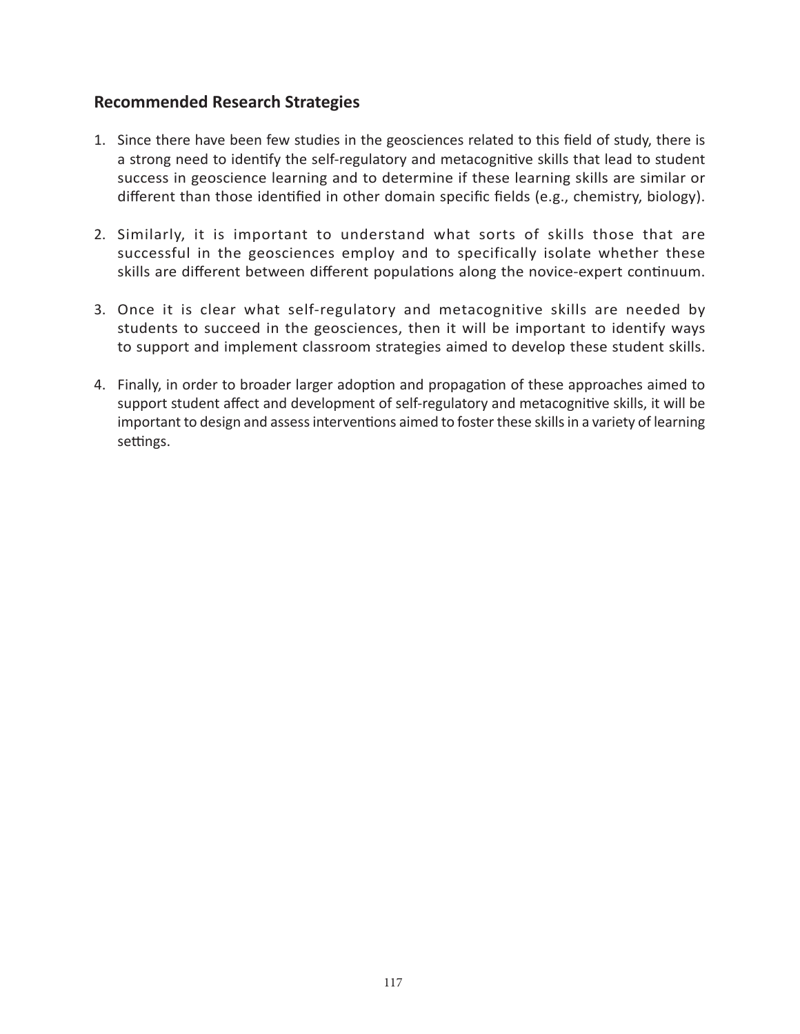#### **Recommended Research Strategies**

- 1. Since there have been few studies in the geosciences related to this field of study, there is a strong need to identify the self-regulatory and metacognitive skills that lead to student success in geoscience learning and to determine if these learning skills are similar or different than those identified in other domain specific fields (e.g., chemistry, biology).
- 2. Similarly, it is important to understand what sorts of skills those that are successful in the geosciences employ and to specifically isolate whether these skills are different between different populations along the novice-expert continuum.
- 3. Once it is clear what self-regulatory and metacognitive skills are needed by students to succeed in the geosciences, then it will be important to identify ways to support and implement classroom strategies aimed to develop these student skills.
- 4. Finally, in order to broader larger adoption and propagation of these approaches aimed to support student affect and development of self-regulatory and metacognitive skills, it will be important to design and assess interventions aimed to foster these skills in a variety of learning settings.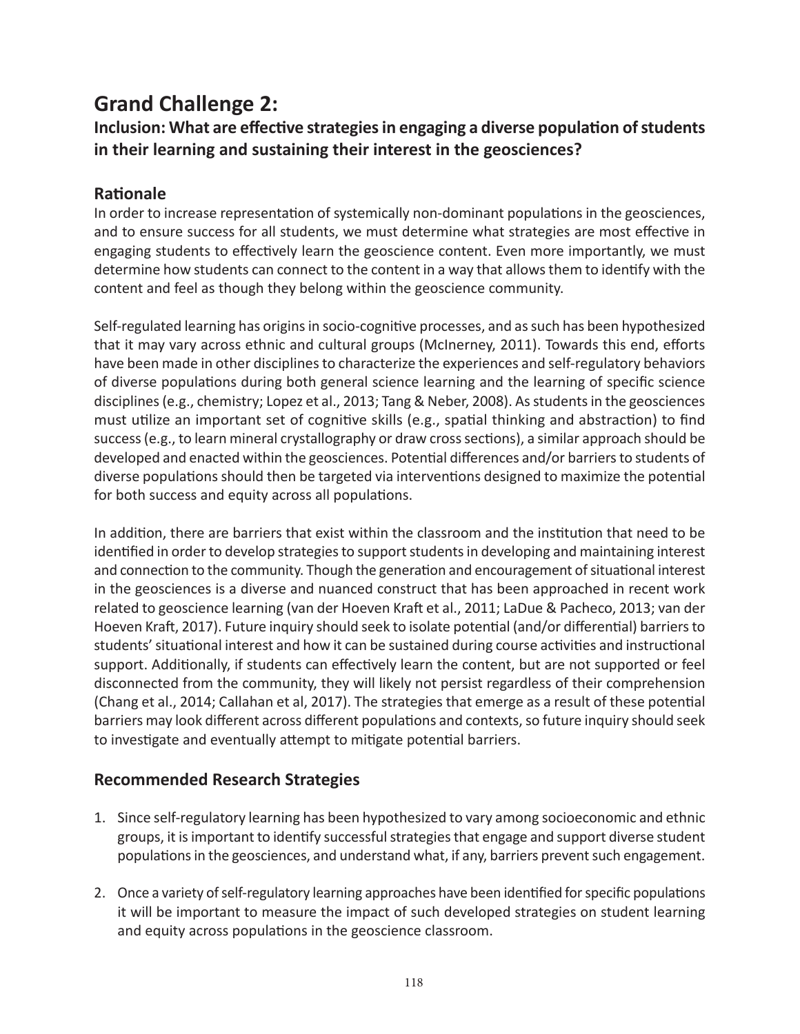## **Grand Challenge 2:**

## **Inclusion: What are effective strategies in engaging a diverse population of students in their learning and sustaining their interest in the geosciences?**

### **Rationale**

In order to increase representation of systemically non-dominant populations in the geosciences, and to ensure success for all students, we must determine what strategies are most effective in engaging students to effectively learn the geoscience content. Even more importantly, we must determine how students can connect to the content in a way that allows them to identify with the content and feel as though they belong within the geoscience community.

Self-regulated learning has origins in socio-cognitive processes, and as such has been hypothesized that it may vary across ethnic and cultural groups (McInerney, 2011). Towards this end, efforts have been made in other disciplines to characterize the experiences and self-regulatory behaviors of diverse populations during both general science learning and the learning of specific science disciplines (e.g., chemistry; Lopez et al., 2013; Tang & Neber, 2008). As students in the geosciences must utilize an important set of cognitive skills (e.g., spatial thinking and abstraction) to find success (e.g., to learn mineral crystallography or draw cross sections), a similar approach should be developed and enacted within the geosciences. Potential differences and/or barriers to students of diverse populations should then be targeted via interventions designed to maximize the potential for both success and equity across all populations.

In addition, there are barriers that exist within the classroom and the institution that need to be identified in order to develop strategies to support students in developing and maintaining interest and connection to the community. Though the generation and encouragement of situational interest in the geosciences is a diverse and nuanced construct that has been approached in recent work related to geoscience learning (van der Hoeven Kraft et al., 2011; LaDue & Pacheco, 2013; van der Hoeven Kraft, 2017). Future inquiry should seek to isolate potential (and/or differential) barriers to students' situational interest and how it can be sustained during course activities and instructional support. Additionally, if students can effectively learn the content, but are not supported or feel disconnected from the community, they will likely not persist regardless of their comprehension (Chang et al., 2014; Callahan et al, 2017). The strategies that emerge as a result of these potential barriers may look different across different populations and contexts, so future inquiry should seek to investigate and eventually attempt to mitigate potential barriers.

### **Recommended Research Strategies**

- 1. Since self-regulatory learning has been hypothesized to vary among socioeconomic and ethnic groups, it is important to identify successful strategies that engage and support diverse student populations in the geosciences, and understand what, if any, barriers prevent such engagement.
- 2. Once a variety of self-regulatory learning approaches have been identified for specific populations it will be important to measure the impact of such developed strategies on student learning and equity across populations in the geoscience classroom.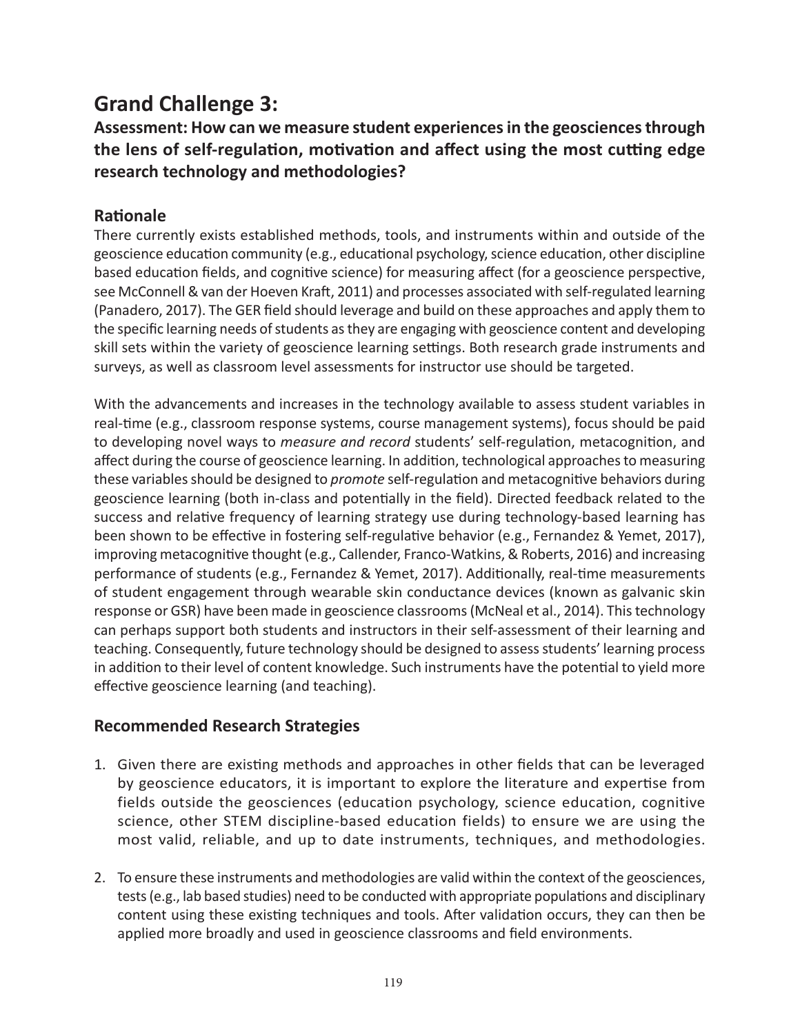## **Grand Challenge 3:**

**Assessment: How can we measure student experiences in the geosciences through the lens of self-regulation, motivation and affect using the most cutting edge research technology and methodologies?**

### **Rationale**

There currently exists established methods, tools, and instruments within and outside of the geoscience education community (e.g., educational psychology, science education, other discipline based education fields, and cognitive science) for measuring affect (for a geoscience perspective, see McConnell & van der Hoeven Kraft, 2011) and processes associated with self-regulated learning (Panadero, 2017). The GER field should leverage and build on these approaches and apply them to the specific learning needs of students as they are engaging with geoscience content and developing skill sets within the variety of geoscience learning settings. Both research grade instruments and surveys, as well as classroom level assessments for instructor use should be targeted.

With the advancements and increases in the technology available to assess student variables in real-time (e.g., classroom response systems, course management systems), focus should be paid to developing novel ways to *measure and record* students' self-regulation, metacognition, and affect during the course of geoscience learning. In addition, technological approaches to measuring these variables should be designed to *promote* self-regulation and metacognitive behaviors during geoscience learning (both in-class and potentially in the field). Directed feedback related to the success and relative frequency of learning strategy use during technology-based learning has been shown to be effective in fostering self-regulative behavior (e.g., Fernandez & Yemet, 2017), improving metacognitive thought (e.g., Callender, Franco-Watkins, & Roberts, 2016) and increasing performance of students (e.g., Fernandez & Yemet, 2017). Additionally, real-time measurements of student engagement through wearable skin conductance devices (known as galvanic skin response or GSR) have been made in geoscience classrooms (McNeal et al., 2014). This technology can perhaps support both students and instructors in their self-assessment of their learning and teaching. Consequently, future technology should be designed to assess students' learning process in addition to their level of content knowledge. Such instruments have the potential to yield more effective geoscience learning (and teaching).

### **Recommended Research Strategies**

- 1. Given there are existing methods and approaches in other fields that can be leveraged by geoscience educators, it is important to explore the literature and expertise from fields outside the geosciences (education psychology, science education, cognitive science, other STEM discipline-based education fields) to ensure we are using the most valid, reliable, and up to date instruments, techniques, and methodologies.
- 2. To ensure these instruments and methodologies are valid within the context of the geosciences, tests (e.g., lab based studies) need to be conducted with appropriate populations and disciplinary content using these existing techniques and tools. After validation occurs, they can then be applied more broadly and used in geoscience classrooms and field environments.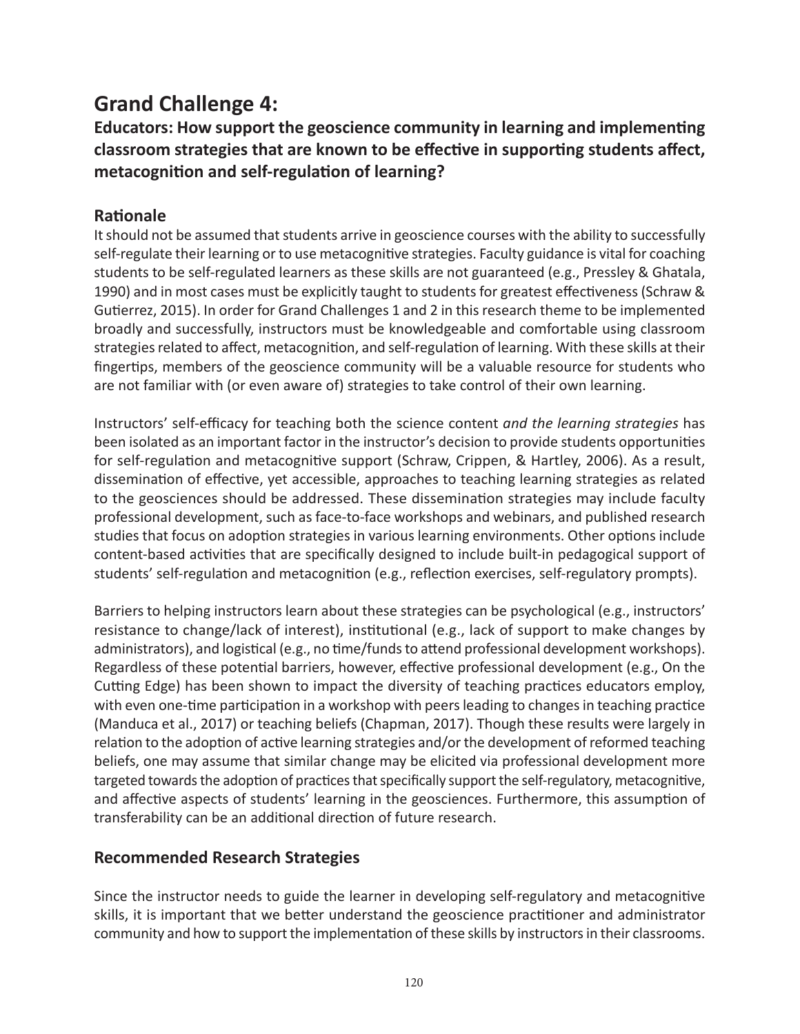## **Grand Challenge 4:**

**Educators: How support the geoscience community in learning and implementing classroom strategies that are known to be effective in supporting students affect, metacognition and self-regulation of learning?**

### **Rationale**

It should not be assumed that students arrive in geoscience courses with the ability to successfully self-regulate their learning or to use metacognitive strategies. Faculty guidance is vital for coaching students to be self-regulated learners as these skills are not guaranteed (e.g., Pressley & Ghatala, 1990) and in most cases must be explicitly taught to students for greatest effectiveness (Schraw & Gutierrez, 2015). In order for Grand Challenges 1 and 2 in this research theme to be implemented broadly and successfully, instructors must be knowledgeable and comfortable using classroom strategies related to affect, metacognition, and self-regulation of learning. With these skills at their fingertips, members of the geoscience community will be a valuable resource for students who are not familiar with (or even aware of) strategies to take control of their own learning.

Instructors' self-efficacy for teaching both the science content *and the learning strategies* has been isolated as an important factor in the instructor's decision to provide students opportunities for self-regulation and metacognitive support (Schraw, Crippen, & Hartley, 2006). As a result, dissemination of effective, yet accessible, approaches to teaching learning strategies as related to the geosciences should be addressed. These dissemination strategies may include faculty professional development, such as face-to-face workshops and webinars, and published research studies that focus on adoption strategies in various learning environments. Other options include content-based activities that are specifically designed to include built-in pedagogical support of students' self-regulation and metacognition (e.g., reflection exercises, self-regulatory prompts).

Barriers to helping instructors learn about these strategies can be psychological (e.g., instructors' resistance to change/lack of interest), institutional (e.g., lack of support to make changes by administrators), and logistical (e.g., no time/funds to attend professional development workshops). Regardless of these potential barriers, however, effective professional development (e.g., On the Cutting Edge) has been shown to impact the diversity of teaching practices educators employ, with even one-time participation in a workshop with peers leading to changes in teaching practice (Manduca et al., 2017) or teaching beliefs (Chapman, 2017). Though these results were largely in relation to the adoption of active learning strategies and/or the development of reformed teaching beliefs, one may assume that similar change may be elicited via professional development more targeted towards the adoption of practices that specifically support the self-regulatory, metacognitive, and affective aspects of students' learning in the geosciences. Furthermore, this assumption of transferability can be an additional direction of future research.

### **Recommended Research Strategies**

Since the instructor needs to guide the learner in developing self-regulatory and metacognitive skills, it is important that we better understand the geoscience practitioner and administrator community and how to support the implementation of these skills by instructors in their classrooms.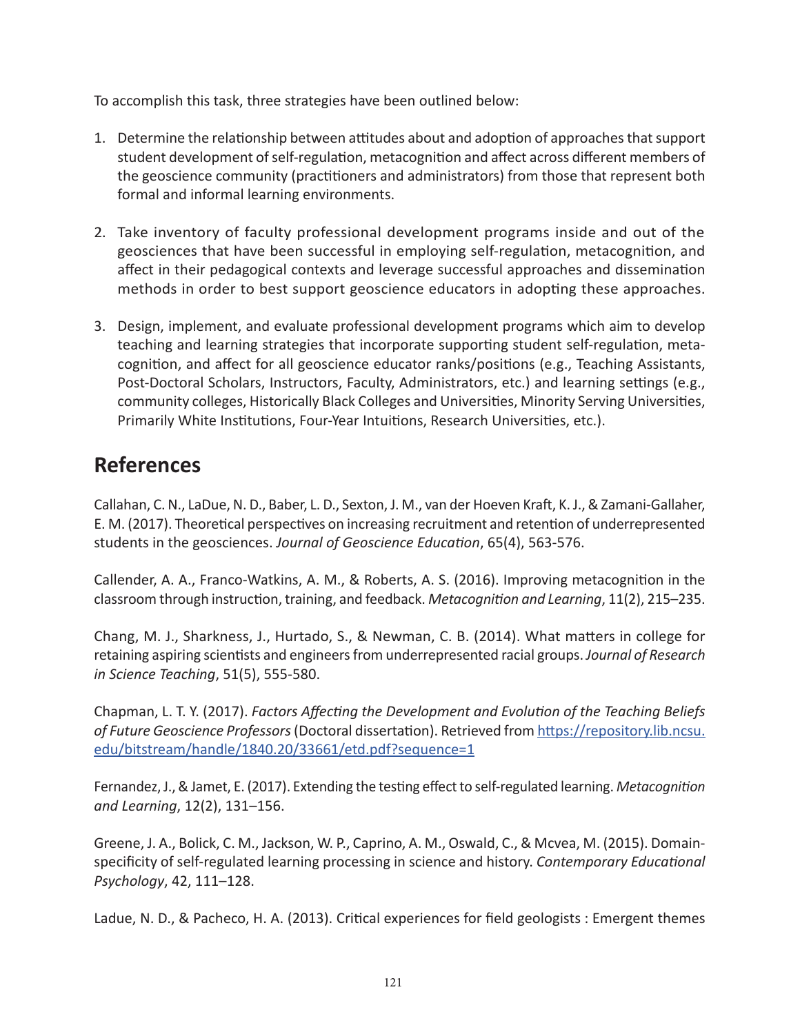To accomplish this task, three strategies have been outlined below:

- 1. Determine the relationship between attitudes about and adoption of approaches that support student development of self-regulation, metacognition and affect across different members of the geoscience community (practitioners and administrators) from those that represent both formal and informal learning environments.
- 2. Take inventory of faculty professional development programs inside and out of the geosciences that have been successful in employing self-regulation, metacognition, and affect in their pedagogical contexts and leverage successful approaches and dissemination methods in order to best support geoscience educators in adopting these approaches.
- 3. Design, implement, and evaluate professional development programs which aim to develop teaching and learning strategies that incorporate supporting student self-regulation, metacognition, and affect for all geoscience educator ranks/positions (e.g., Teaching Assistants, Post-Doctoral Scholars, Instructors, Faculty, Administrators, etc.) and learning settings (e.g., community colleges, Historically Black Colleges and Universities, Minority Serving Universities, Primarily White Institutions, Four-Year Intuitions, Research Universities, etc.).

## **References**

Callahan, C. N., LaDue, N. D., Baber, L. D., Sexton, J. M., van der Hoeven Kraft, K. J., & Zamani-Gallaher, E. M. (2017). Theoretical perspectives on increasing recruitment and retention of underrepresented students in the geosciences. *Journal of Geoscience Education*, 65(4), 563-576.

Callender, A. A., Franco-Watkins, A. M., & Roberts, A. S. (2016). Improving metacognition in the classroom through instruction, training, and feedback. *Metacognition and Learning*, 11(2), 215–235.

Chang, M. J., Sharkness, J., Hurtado, S., & Newman, C. B. (2014). What matters in college for retaining aspiring scientists and engineers from underrepresented racial groups. *Journal of Research in Science Teaching*, 51(5), 555-580.

Chapman, L. T. Y. (2017). *Factors Affecting the Development and Evolution of the Teaching Beliefs of Future Geoscience Professors* (Doctoral dissertation). Retrieved from [https://repository.lib.ncsu.](https://repository.lib.ncsu.edu/bitstream/handle/1840.20/33661/etd.pdf?sequence=1) [edu/bitstream/handle/1840.20/33661/etd.pdf?sequence=1](https://repository.lib.ncsu.edu/bitstream/handle/1840.20/33661/etd.pdf?sequence=1)

Fernandez, J., & Jamet, E. (2017). Extending the testing effect to self-regulated learning. *Metacognition and Learning*, 12(2), 131–156.

Greene, J. A., Bolick, C. M., Jackson, W. P., Caprino, A. M., Oswald, C., & Mcvea, M. (2015). Domainspecificity of self-regulated learning processing in science and history. *Contemporary Educational Psychology*, 42, 111–128.

Ladue, N. D., & Pacheco, H. A. (2013). Critical experiences for field geologists : Emergent themes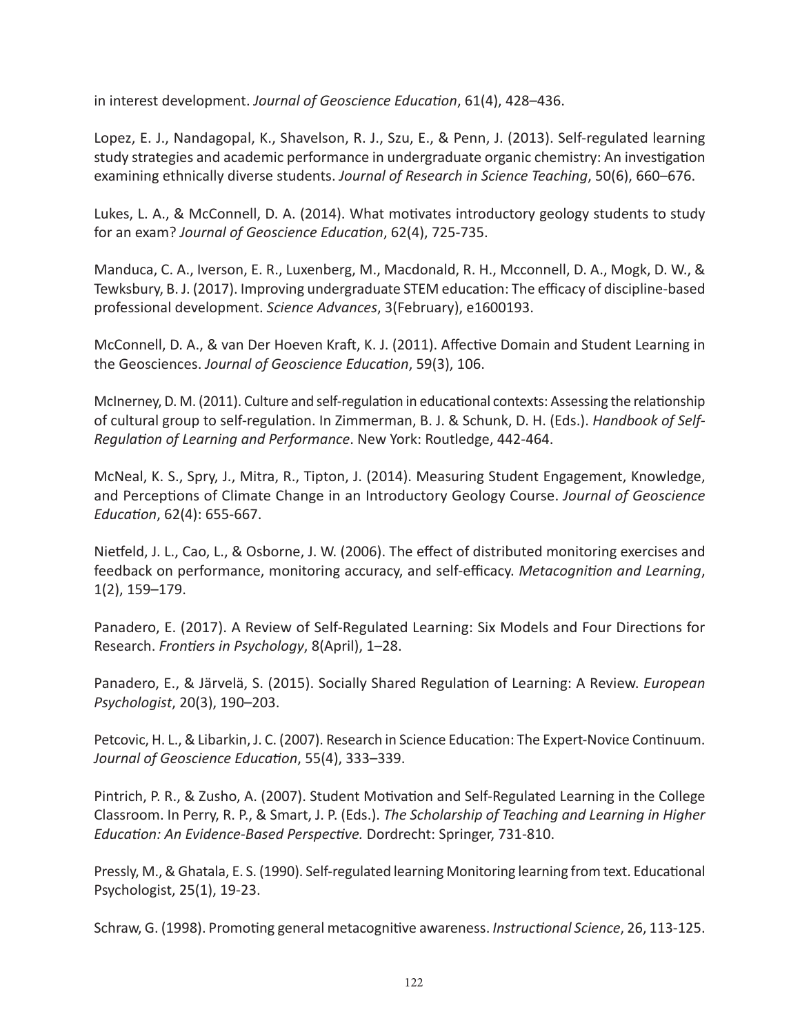in interest development. *Journal of Geoscience Education*, 61(4), 428–436.

Lopez, E. J., Nandagopal, K., Shavelson, R. J., Szu, E., & Penn, J. (2013). Self-regulated learning study strategies and academic performance in undergraduate organic chemistry: An investigation examining ethnically diverse students. *Journal of Research in Science Teaching*, 50(6), 660–676.

Lukes, L. A., & McConnell, D. A. (2014). What motivates introductory geology students to study for an exam? *Journal of Geoscience Education*, 62(4), 725-735.

Manduca, C. A., Iverson, E. R., Luxenberg, M., Macdonald, R. H., Mcconnell, D. A., Mogk, D. W., & Tewksbury, B. J. (2017). Improving undergraduate STEM education: The efficacy of discipline-based professional development. *Science Advances*, 3(February), e1600193.

McConnell, D. A., & van Der Hoeven Kraft, K. J. (2011). Affective Domain and Student Learning in the Geosciences. *Journal of Geoscience Education*, 59(3), 106.

McInerney, D. M. (2011). Culture and self-regulation in educational contexts: Assessing the relationship of cultural group to self-regulation. In Zimmerman, B. J. & Schunk, D. H. (Eds.). *Handbook of Self-Regulation of Learning and Performance*. New York: Routledge, 442-464.

McNeal, K. S., Spry, J., Mitra, R., Tipton, J. (2014). Measuring Student Engagement, Knowledge, and Perceptions of Climate Change in an Introductory Geology Course. *Journal of Geoscience Education*, 62(4): 655-667.

Nietfeld, J. L., Cao, L., & Osborne, J. W. (2006). The effect of distributed monitoring exercises and feedback on performance, monitoring accuracy, and self-efficacy. *Metacognition and Learning*, 1(2), 159–179.

Panadero, E. (2017). A Review of Self-Regulated Learning: Six Models and Four Directions for Research. *Frontiers in Psychology*, 8(April), 1–28.

Panadero, E., & Järvelä, S. (2015). Socially Shared Regulation of Learning: A Review. *European Psychologist*, 20(3), 190–203.

Petcovic, H. L., & Libarkin, J. C. (2007). Research in Science Education: The Expert-Novice Continuum. *Journal of Geoscience Education*, 55(4), 333–339.

Pintrich, P. R., & Zusho, A. (2007). Student Motivation and Self-Regulated Learning in the College Classroom. In Perry, R. P., & Smart, J. P. (Eds.). *The Scholarship of Teaching and Learning in Higher Education: An Evidence-Based Perspective.* Dordrecht: Springer, 731-810.

Pressly, M., & Ghatala, E. S. (1990). Self-regulated learning Monitoring learning from text. Educational Psychologist, 25(1), 19-23.

Schraw, G. (1998). Promoting general metacognitive awareness. *Instructional Science*, 26, 113-125.